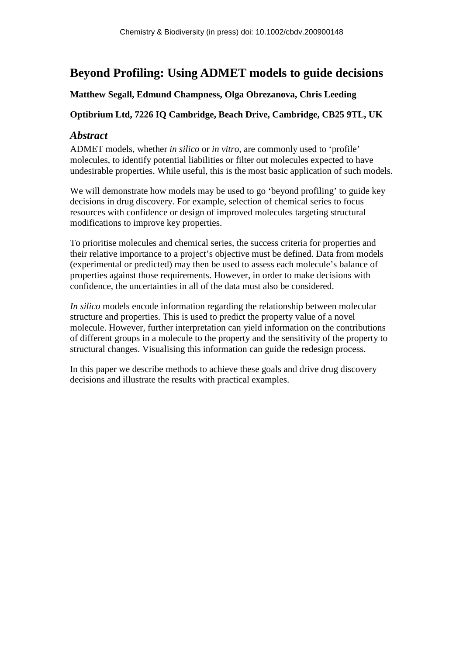# **Beyond Profiling: Using ADMET models to guide decisions**

#### **Matthew Segall, Edmund Champness, Olga Obrezanova, Chris Leeding**

#### **Optibrium Ltd, 7226 IQ Cambridge, Beach Drive, Cambridge, CB25 9TL, UK**

### *Abstract*

ADMET models, whether *in silico* or *in vitro,* are commonly used to 'profile' molecules, to identify potential liabilities or filter out molecules expected to have undesirable properties. While useful, this is the most basic application of such models.

We will demonstrate how models may be used to go 'beyond profiling' to guide key decisions in drug discovery. For example, selection of chemical series to focus resources with confidence or design of improved molecules targeting structural modifications to improve key properties.

To prioritise molecules and chemical series, the success criteria for properties and their relative importance to a project's objective must be defined. Data from models (experimental or predicted) may then be used to assess each molecule's balance of properties against those requirements. However, in order to make decisions with confidence, the uncertainties in all of the data must also be considered.

*In silico* models encode information regarding the relationship between molecular structure and properties. This is used to predict the property value of a novel molecule. However, further interpretation can yield information on the contributions of different groups in a molecule to the property and the sensitivity of the property to structural changes. Visualising this information can guide the redesign process.

In this paper we describe methods to achieve these goals and drive drug discovery decisions and illustrate the results with practical examples.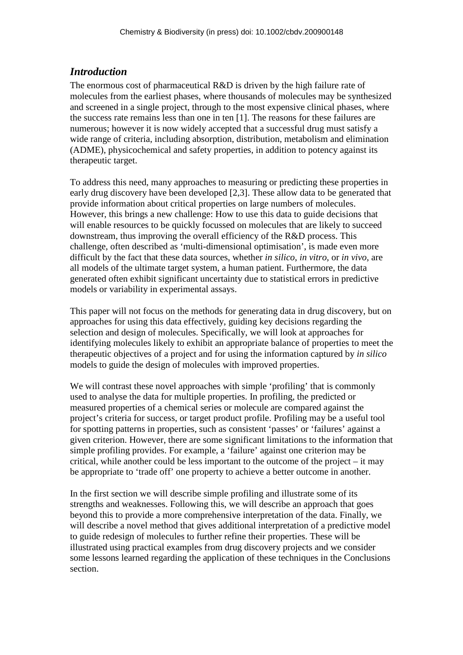## *Introduction*

The enormous cost of pharmaceutical R&D is driven by the high failure rate of molecules from the earliest phases, where thousands of molecules may be synthesized and screened in a single project, through to the most expensive clinical phases, where the success rate remains less than one in ten [1]. The reasons for these failures are numerous; however it is now widely accepted that a successful drug must satisfy a wide range of criteria, including absorption, distribution, metabolism and elimination (ADME), physicochemical and safety properties, in addition to potency against its therapeutic target.

To address this need, many approaches to measuring or predicting these properties in early drug discovery have been developed [2,3]. These allow data to be generated that provide information about critical properties on large numbers of molecules. However, this brings a new challenge: How to use this data to guide decisions that will enable resources to be quickly focussed on molecules that are likely to succeed downstream, thus improving the overall efficiency of the R&D process. This challenge, often described as 'multi-dimensional optimisation', is made even more difficult by the fact that these data sources, whether *in silico*, *in vitro*, or *in vivo*, are all models of the ultimate target system, a human patient. Furthermore, the data generated often exhibit significant uncertainty due to statistical errors in predictive models or variability in experimental assays.

This paper will not focus on the methods for generating data in drug discovery, but on approaches for using this data effectively, guiding key decisions regarding the selection and design of molecules. Specifically, we will look at approaches for identifying molecules likely to exhibit an appropriate balance of properties to meet the therapeutic objectives of a project and for using the information captured by *in silico* models to guide the design of molecules with improved properties.

We will contrast these novel approaches with simple 'profiling' that is commonly used to analyse the data for multiple properties. In profiling, the predicted or measured properties of a chemical series or molecule are compared against the project's criteria for success, or target product profile. Profiling may be a useful tool for spotting patterns in properties, such as consistent 'passes' or 'failures' against a given criterion. However, there are some significant limitations to the information that simple profiling provides. For example, a 'failure' against one criterion may be critical, while another could be less important to the outcome of the project – it may be appropriate to 'trade off' one property to achieve a better outcome in another.

In the first section we will describe simple profiling and illustrate some of its strengths and weaknesses. Following this, we will describe an approach that goes beyond this to provide a more comprehensive interpretation of the data. Finally, we will describe a novel method that gives additional interpretation of a predictive model to guide redesign of molecules to further refine their properties. These will be illustrated using practical examples from drug discovery projects and we consider some lessons learned regarding the application of these techniques in the Conclusions section.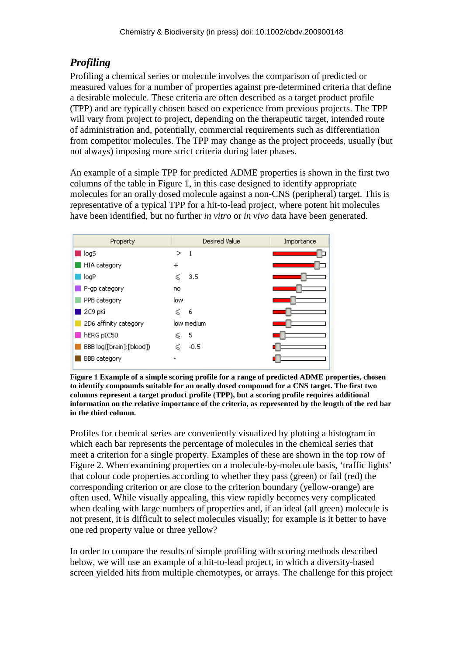## *Profiling*

Profiling a chemical series or molecule involves the comparison of predicted or measured values for a number of properties against pre-determined criteria that define a desirable molecule. These criteria are often described as a target product profile (TPP) and are typically chosen based on experience from previous projects. The TPP will vary from project to project, depending on the therapeutic target, intended route of administration and, potentially, commercial requirements such as differentiation from competitor molecules. The TPP may change as the project proceeds, usually (but not always) imposing more strict criteria during later phases.

An example of a simple TPP for predicted ADME properties is shown in the first two columns of the table in Figure 1, in this case designed to identify appropriate molecules for an orally dosed molecule against a non-CNS (peripheral) target. This is representative of a typical TPP for a hit-to-lead project, where potent hit molecules have been identified, but no further *in vitro* or *in vivo* data have been generated.



**Figure 1 Example of a simple scoring profile for a range of predicted ADME properties, chosen to identify compounds suitable for an orally dosed compound for a CNS target. The first two columns represent a target product profile (TPP), but a scoring profile requires additional information on the relative importance of the criteria, as represented by the length of the red bar in the third column.** 

Profiles for chemical series are conveniently visualized by plotting a histogram in which each bar represents the percentage of molecules in the chemical series that meet a criterion for a single property. Examples of these are shown in the top row of Figure 2. When examining properties on a molecule-by-molecule basis, 'traffic lights' that colour code properties according to whether they pass (green) or fail (red) the corresponding criterion or are close to the criterion boundary (yellow-orange) are often used. While visually appealing, this view rapidly becomes very complicated when dealing with large numbers of properties and, if an ideal (all green) molecule is not present, it is difficult to select molecules visually; for example is it better to have one red property value or three yellow?

In order to compare the results of simple profiling with scoring methods described below, we will use an example of a hit-to-lead project, in which a diversity-based screen yielded hits from multiple chemotypes, or arrays. The challenge for this project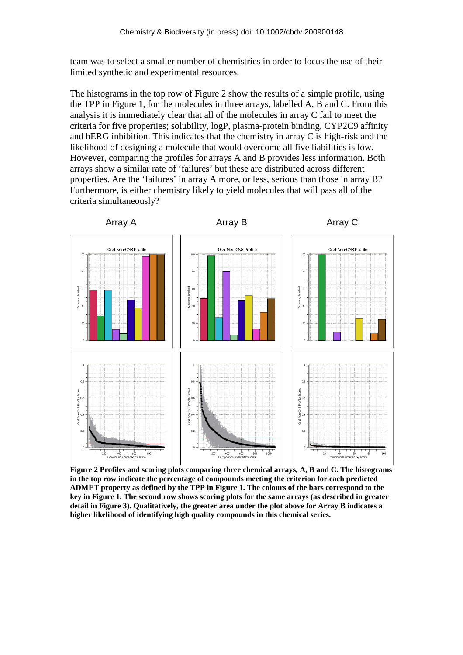team was to select a smaller number of chemistries in order to focus the use of their limited synthetic and experimental resources.

The histograms in the top row of Figure 2 show the results of a simple profile, using the TPP in Figure 1, for the molecules in three arrays, labelled A, B and C. From this analysis it is immediately clear that all of the molecules in array C fail to meet the criteria for five properties; solubility, logP, plasma-protein binding, CYP2C9 affinity and hERG inhibition. This indicates that the chemistry in array C is high-risk and the likelihood of designing a molecule that would overcome all five liabilities is low. However, comparing the profiles for arrays A and B provides less information. Both arrays show a similar rate of 'failures' but these are distributed across different properties. Are the 'failures' in array A more, or less, serious than those in array B? Furthermore, is either chemistry likely to yield molecules that will pass all of the criteria simultaneously?



**Figure 2 Profiles and scoring plots comparing three chemical arrays, A, B and C. The histograms in the top row indicate the percentage of compounds meeting the criterion for each predicted ADMET property as defined by the TPP in Figure 1. The colours of the bars correspond to the key in Figure 1. The second row shows scoring plots for the same arrays (as described in greater detail in Figure 3). Qualitatively, the greater area under the plot above for Array B indicates a higher likelihood of identifying high quality compounds in this chemical series.**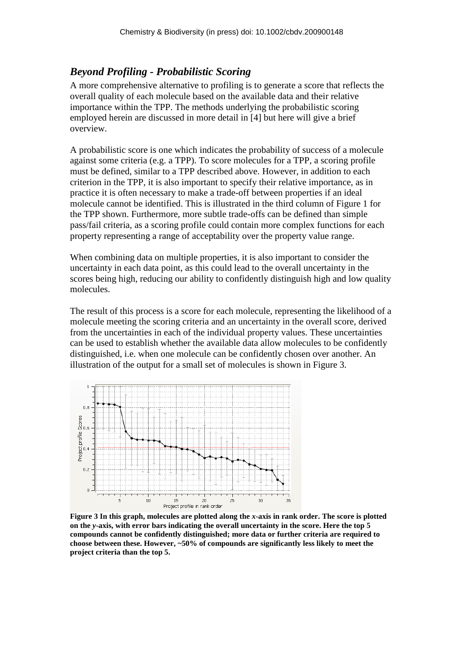### *Beyond Profiling - Probabilistic Scoring*

A more comprehensive alternative to profiling is to generate a score that reflects the overall quality of each molecule based on the available data and their relative importance within the TPP. The methods underlying the probabilistic scoring employed herein are discussed in more detail in [4] but here will give a brief overview.

A probabilistic score is one which indicates the probability of success of a molecule against some criteria (e.g. a TPP). To score molecules for a TPP, a scoring profile must be defined, similar to a TPP described above. However, in addition to each criterion in the TPP, it is also important to specify their relative importance, as in practice it is often necessary to make a trade-off between properties if an ideal molecule cannot be identified. This is illustrated in the third column of Figure 1 for the TPP shown. Furthermore, more subtle trade-offs can be defined than simple pass/fail criteria, as a scoring profile could contain more complex functions for each property representing a range of acceptability over the property value range.

When combining data on multiple properties, it is also important to consider the uncertainty in each data point, as this could lead to the overall uncertainty in the scores being high, reducing our ability to confidently distinguish high and low quality molecules.

The result of this process is a score for each molecule, representing the likelihood of a molecule meeting the scoring criteria and an uncertainty in the overall score, derived from the uncertainties in each of the individual property values. These uncertainties can be used to establish whether the available data allow molecules to be confidently distinguished, i.e. when one molecule can be confidently chosen over another. An illustration of the output for a small set of molecules is shown in Figure 3.



**Figure 3 In this graph, molecules are plotted along the** *x***-axis in rank order. The score is plotted on the** *y***-axis, with error bars indicating the overall uncertainty in the score. Here the top 5 compounds cannot be confidently distinguished; more data or further criteria are required to choose between these. However, ~50% of compounds are significantly less likely to meet the project criteria than the top 5.**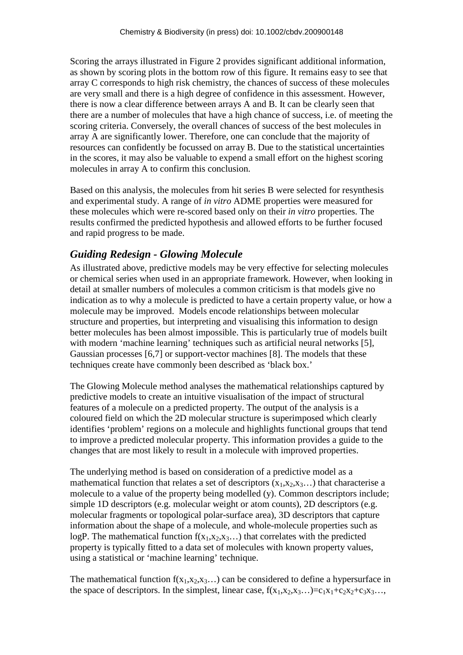Scoring the arrays illustrated in Figure 2 provides significant additional information, as shown by scoring plots in the bottom row of this figure. It remains easy to see that array C corresponds to high risk chemistry, the chances of success of these molecules are very small and there is a high degree of confidence in this assessment. However, there is now a clear difference between arrays A and B. It can be clearly seen that there are a number of molecules that have a high chance of success, i.e. of meeting the scoring criteria. Conversely, the overall chances of success of the best molecules in array A are significantly lower. Therefore, one can conclude that the majority of resources can confidently be focussed on array B. Due to the statistical uncertainties in the scores, it may also be valuable to expend a small effort on the highest scoring molecules in array A to confirm this conclusion.

Based on this analysis, the molecules from hit series B were selected for resynthesis and experimental study. A range of *in vitro* ADME properties were measured for these molecules which were re-scored based only on their *in vitro* properties. The results confirmed the predicted hypothesis and allowed efforts to be further focused and rapid progress to be made.

## *Guiding Redesign - Glowing Molecule*

As illustrated above, predictive models may be very effective for selecting molecules or chemical series when used in an appropriate framework. However, when looking in detail at smaller numbers of molecules a common criticism is that models give no indication as to why a molecule is predicted to have a certain property value, or how a molecule may be improved. Models encode relationships between molecular structure and properties, but interpreting and visualising this information to design better molecules has been almost impossible. This is particularly true of models built with modern 'machine learning' techniques such as artificial neural networks [5], Gaussian processes [6,7] or support-vector machines [8]. The models that these techniques create have commonly been described as 'black box.'

The Glowing Molecule method analyses the mathematical relationships captured by predictive models to create an intuitive visualisation of the impact of structural features of a molecule on a predicted property. The output of the analysis is a coloured field on which the 2D molecular structure is superimposed which clearly identifies 'problem' regions on a molecule and highlights functional groups that tend to improve a predicted molecular property. This information provides a guide to the changes that are most likely to result in a molecule with improved properties.

The underlying method is based on consideration of a predictive model as a mathematical function that relates a set of descriptors  $(x_1, x_2, x_3...)$  that characterise a molecule to a value of the property being modelled (y). Common descriptors include; simple 1D descriptors (e.g. molecular weight or atom counts), 2D descriptors (e.g. molecular fragments or topological polar-surface area), 3D descriptors that capture information about the shape of a molecule, and whole-molecule properties such as logP. The mathematical function  $f(x_1,x_2,x_3...)$  that correlates with the predicted property is typically fitted to a data set of molecules with known property values, using a statistical or 'machine learning' technique.

The mathematical function  $f(x_1,x_2,x_3...)$  can be considered to define a hypersurface in the space of descriptors. In the simplest, linear case,  $f(x_1, x_2, x_3...) = c_1x_1+c_2x_2+c_3x_3...$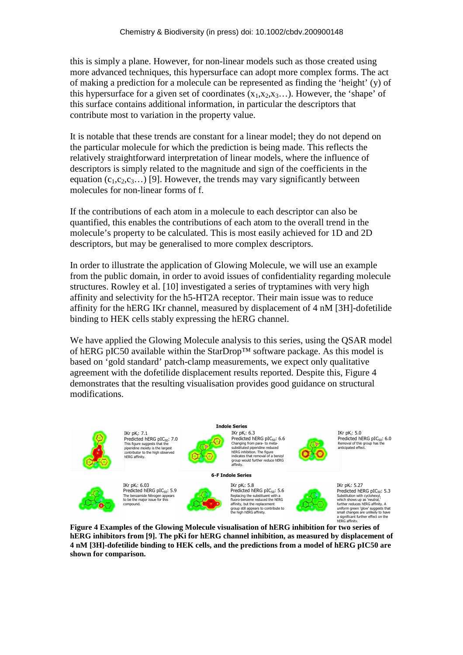this is simply a plane. However, for non-linear models such as those created using more advanced techniques, this hypersurface can adopt more complex forms. The act of making a prediction for a molecule can be represented as finding the 'height' (y) of this hypersurface for a given set of coordinates  $(x_1, x_2, x_3...)$ . However, the 'shape' of this surface contains additional information, in particular the descriptors that contribute most to variation in the property value.

It is notable that these trends are constant for a linear model; they do not depend on the particular molecule for which the prediction is being made. This reflects the relatively straightforward interpretation of linear models, where the influence of descriptors is simply related to the magnitude and sign of the coefficients in the equation  $(c_1, c_2, c_3...)$  [9]. However, the trends may vary significantly between molecules for non-linear forms of f.

If the contributions of each atom in a molecule to each descriptor can also be quantified, this enables the contributions of each atom to the overall trend in the molecule's property to be calculated. This is most easily achieved for 1D and 2D descriptors, but may be generalised to more complex descriptors.

In order to illustrate the application of Glowing Molecule, we will use an example from the public domain, in order to avoid issues of confidentiality regarding molecule structures. Rowley et al. [10] investigated a series of tryptamines with very high affinity and selectivity for the h5-HT2A receptor. Their main issue was to reduce affinity for the hERG IKr channel, measured by displacement of 4 nM [3H]-dofetilide binding to HEK cells stably expressing the hERG channel.

We have applied the Glowing Molecule analysis to this series, using the QSAR model of hERG pIC50 available within the StarDrop™ software package. As this model is based on 'gold standard' patch-clamp measurements, we expect only qualitative agreement with the dofetilide displacement results reported. Despite this, Figure 4 demonstrates that the resulting visualisation provides good guidance on structural modifications.



Predicted hERG pIC<sub>50</sub>: 7.0 This figure suggests that the piperidine moiety is the largest contributor to the high observed hERG affinity.

IKr $nk$ : 7.1



IKr pKi: 6.03 Predicted hERG pIC<sub>50</sub>: 5.9 The benzamide Nitrogen appears to be the major issue for this compound.



Predicted hERG  $pIC_{50}$ : 6.6 Changing from para- to meta-substituted piperidine reduced hERG inhibition. The figure indicates that removal of a benzyl group would further reduce hERG affinity.

IKr pKi: 6.3

6-F Indole Series

Indole Series





IKr $nk: 5.0$ Predicted hERG  $pIC_{50}$ : 6.0 Removal of this group has the anticipated effect.

IKr pKi: 5.27 Predicted hERG pIC<sub>50</sub>: 5.3 Substitution with cyclohexyl,<br>
which shows up as 'neutral,'<br>
further reduces hERG affinity. A<br>
uniform green 'glow' suggests that<br>
small changes are unlikely to have<br>
a significant further effect on the<br>
hERG affinity.

**Figure 4 Examples of the Glowing Molecule visualisation of hERG inhibition for two series of hERG inhibitors from [9]. The pKi for hERG channel inhibition, as measured by displacement of 4 nM [3H]-dofetilide binding to HEK cells, and the predictions from a model of hERG pIC50 are shown for comparison.**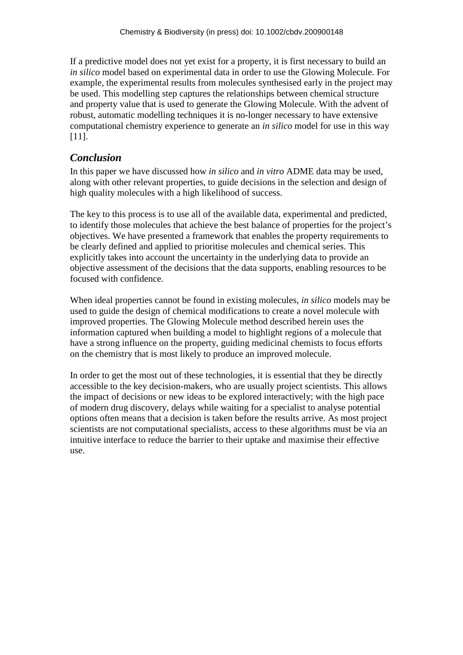If a predictive model does not yet exist for a property, it is first necessary to build an *in silico* model based on experimental data in order to use the Glowing Molecule. For example, the experimental results from molecules synthesised early in the project may be used. This modelling step captures the relationships between chemical structure and property value that is used to generate the Glowing Molecule. With the advent of robust, automatic modelling techniques it is no-longer necessary to have extensive computational chemistry experience to generate an *in silico* model for use in this way [11].

### *Conclusion*

In this paper we have discussed how *in silico* and *in vitro* ADME data may be used, along with other relevant properties, to guide decisions in the selection and design of high quality molecules with a high likelihood of success.

The key to this process is to use all of the available data, experimental and predicted, to identify those molecules that achieve the best balance of properties for the project's objectives. We have presented a framework that enables the property requirements to be clearly defined and applied to prioritise molecules and chemical series. This explicitly takes into account the uncertainty in the underlying data to provide an objective assessment of the decisions that the data supports, enabling resources to be focused with confidence.

When ideal properties cannot be found in existing molecules, *in silico* models may be used to guide the design of chemical modifications to create a novel molecule with improved properties. The Glowing Molecule method described herein uses the information captured when building a model to highlight regions of a molecule that have a strong influence on the property, guiding medicinal chemists to focus efforts on the chemistry that is most likely to produce an improved molecule.

In order to get the most out of these technologies, it is essential that they be directly accessible to the key decision-makers, who are usually project scientists. This allows the impact of decisions or new ideas to be explored interactively; with the high pace of modern drug discovery, delays while waiting for a specialist to analyse potential options often means that a decision is taken before the results arrive. As most project scientists are not computational specialists, access to these algorithms must be via an intuitive interface to reduce the barrier to their uptake and maximise their effective use.